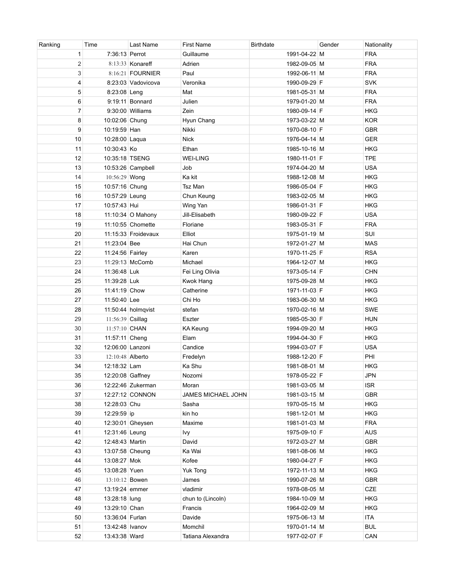| Ranking        | Time             | Last Name            | <b>First Name</b>  | <b>Birthdate</b> | Gender | Nationality |
|----------------|------------------|----------------------|--------------------|------------------|--------|-------------|
| 1              | 7:36:13 Perrot   |                      | Guillaume          | 1991-04-22 M     |        | <b>FRA</b>  |
| $\overline{2}$ |                  | 8:13:33   Konareff   | Adrien             | 1982-09-05 M     |        | <b>FRA</b>  |
| 3              |                  | 8:16:21 FOURNIER     | Paul               | 1992-06-11 M     |        | <b>FRA</b>  |
| 4              |                  | 8:23:03 Vadovicova   | Veronika           | 1990-09-29 F     |        | <b>SVK</b>  |
| 5              | 8:23:08 Leng     |                      | Mat                | 1981-05-31 M     |        | <b>FRA</b>  |
| 6              |                  | 9:19:11 Bonnard      | Julien             | 1979-01-20 M     |        | <b>FRA</b>  |
| $\overline{7}$ |                  | 9:30:00 Williams     | Zein               | 1980-09-14 F     |        | <b>HKG</b>  |
| 8              | 10:02:06 Chung   |                      | Hyun Chang         | 1973-03-22 M     |        | <b>KOR</b>  |
| 9              | 10:19:59 Han     |                      | Nikki              | 1970-08-10 F     |        | <b>GBR</b>  |
| 10             | 10:28:00 Laqua   |                      | <b>Nick</b>        | 1976-04-14 M     |        | <b>GER</b>  |
| 11             | 10:30:43 Ko      |                      | Ethan              | 1985-10-16 M     |        | <b>HKG</b>  |
| 12             | 10:35:18 TSENG   |                      | <b>WEI-LING</b>    | 1980-11-01 F     |        | <b>TPE</b>  |
| 13             |                  | 10:53:26 Campbell    | Job                | 1974-04-20 M     |        | <b>USA</b>  |
| 14             | 10:56:29 Wong    |                      | Ka kit             | 1988-12-08 M     |        | <b>HKG</b>  |
| 15             | 10:57:16 Chung   |                      | Tsz Man            | 1986-05-04 F     |        | <b>HKG</b>  |
| 16             | 10:57:29 Leung   |                      | Chun Keung         | 1983-02-05 M     |        | <b>HKG</b>  |
| 17             | 10:57:43 Hui     |                      | Wing Yan           | 1986-01-31 F     |        | <b>HKG</b>  |
| 18             |                  | 11:10:34 O Mahony    | Jill-Elisabeth     | 1980-09-22 F     |        | <b>USA</b>  |
| 19             |                  | 11:10:55 Chomette    | Floriane           | 1983-05-31 F     |        | <b>FRA</b>  |
| 20             |                  | 11:15:33 Froidevaux  | Elliot             | 1975-01-19 M     |        | SUI         |
| 21             | 11:23:04 Bee     |                      | Hai Chun           | 1972-01-27 M     |        | <b>MAS</b>  |
| 22             | 11:24:56 Fairley |                      | Karen              | 1970-11-25 F     |        | <b>RSA</b>  |
| 23             |                  | 11:29:13 McComb      | Michael            | 1964-12-07 M     |        | <b>HKG</b>  |
| 24             | 11:36:48 Luk     |                      | Fei Ling Olivia    | 1973-05-14 F     |        | <b>CHN</b>  |
| 25             | 11:39:28 Luk     |                      | Kwok Hang          | 1975-09-28 M     |        | <b>HKG</b>  |
| 26             | 11:41:19 Chow    |                      | Catherine          | 1971-11-03 F     |        | <b>HKG</b>  |
| 27             | 11:50:40 Lee     |                      | Chi Ho             | 1983-06-30 M     |        | <b>HKG</b>  |
| 28             |                  | $11:50:44$ holmqvist | stefan             | 1970-02-16 M     |        | <b>SWE</b>  |
| 29             | 11:56:39 Csillag |                      | Eszter             | 1985-05-30 F     |        | <b>HUN</b>  |
| 30             | 11:57:10 CHAN    |                      | <b>KA Keung</b>    | 1994-09-20 M     |        | <b>HKG</b>  |
| 31             | 11:57:11 Cheng   |                      | Elam               | 1994-04-30 F     |        | <b>HKG</b>  |
| 32             |                  | 12:06:00 Lanzoni     | Candice            | 1994-03-07 F     |        | <b>USA</b>  |
| 33             | 12:10:48 Alberto |                      | Fredelyn           | 1988-12-20 F     |        | PHI         |
| 34             | 12:18:32 Lam     |                      | Ka Shu             | 1981-08-01 M     |        | <b>HKG</b>  |
| 35             |                  | 12:20:08 Gaffney     | Nozomi             | 1978-05-22 F     |        | <b>JPN</b>  |
| 36             |                  | 12:22:46 Zukerman    | Moran              | 1981-03-05 M     |        | <b>ISR</b>  |
| 37             |                  | 12:27:12 CONNON      | JAMES MICHAEL JOHN | 1981-03-15 M     |        | <b>GBR</b>  |
| 38             | 12:28:03 Chu     |                      | Sasha              | 1970-05-15 M     |        | <b>HKG</b>  |
| 39             | 12:29:59 ip      |                      | kin ho             | 1981-12-01 M     |        | <b>HKG</b>  |
| 40             |                  | 12:30:01 Gheysen     | Maxime             | 1981-01-03 M     |        | <b>FRA</b>  |
| 41             | 12:31:46 Leung   |                      | lvy                | 1975-09-10 F     |        | <b>AUS</b>  |
| 42             | 12:48:43 Martin  |                      | David              | 1972-03-27 M     |        | <b>GBR</b>  |
| 43             |                  | 13:07:58 Cheung      | Ka Wai             | 1981-08-06 M     |        | <b>HKG</b>  |
| 44             | 13:08:27 Mok     |                      | Kofee              | 1980-04-27 F     |        | <b>HKG</b>  |
| 45             | 13:08:28 Yuen    |                      | Yuk Tong           | 1972-11-13 M     |        | <b>HKG</b>  |
| 46             | 13:10:12 Bowen   |                      | James              | 1990-07-26 M     |        | <b>GBR</b>  |
| 47             | 13:19:24 emmer   |                      | vladimir           | 1978-08-05 M     |        | <b>CZE</b>  |
| 48             | 13:28:18 lung    |                      | chun to (Lincoln)  | 1984-10-09 M     |        | <b>HKG</b>  |
| 49             | 13:29:10 Chan    |                      | Francis            | 1964-02-09 M     |        | <b>HKG</b>  |
| 50             | 13:36:04 Furlan  |                      | Davide             | 1975-06-13 M     |        | ITA         |
| 51             | 13:42:48 Ivanov  |                      | Momchil            | 1970-01-14 M     |        | <b>BUL</b>  |
| 52             | 13:43:38 Ward    |                      | Tatiana Alexandra  | 1977-02-07 F     |        | CAN         |
|                |                  |                      |                    |                  |        |             |